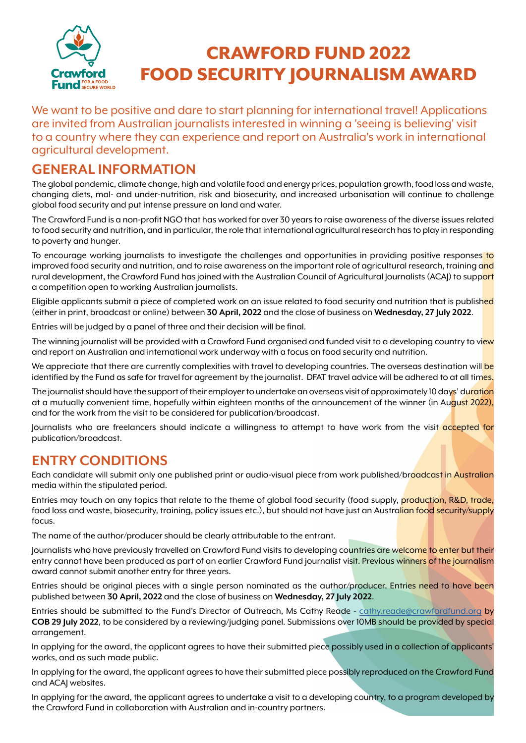

# CRAWFORD FUND 2022 FOOD SECURITY JOURNALISM AWARD

We want to be positive and dare to start planning for international travel! Applications are invited from Australian journalists interested in winning a 'seeing is believing' visit to a country where they can experience and report on Australia's work in international agricultural development.

## **GENERAL INFORMATION**

The global pandemic, climate change, high and volatile food and energy prices, population growth, food loss and waste, changing diets, mal- and under-nutrition, risk and biosecurity, and increased urbanisation will continue to challenge global food security and put intense pressure on land and water.

The Crawford Fund is a non-profit NGO that has worked for over 30 years to raise awareness of the diverse issues related to food security and nutrition, and in particular, the role that international agricultural research has to play in responding to poverty and hunger.

To encourage working journalists to investigate the challenges and opportunities in providing positive responses to improved food security and nutrition, and to raise awareness on the important role of agricultural research, training and rural development, the Crawford Fund has joined with the Australian Council of Agricultural Journalists (ACAJ) to support a competition open to working Australian journalists.

Eligible applicants submit a piece of completed work on an issue related to food security and nutrition that is published (either in print, broadcast or online) between **30 April, 2022** and the close of business on **Wednesday, 27 July 2022**.

Entries will be judged by a panel of three and their decision will be final.

The winning journalist will be provided with a Crawford Fund organised and funded visit to a developing country to view and report on Australian and international work underway with a focus on food security and nutrition.

We appreciate that there are currently complexities with travel to developing countries. The overseas destination will be identified by the Fund as safe for travel for agreement by the journalist. DFAT travel advice will be adhered to at all times.

The journalist should have the support of their employer to undertake an overseas visit of approximately 10 days' duration at a mutually convenient time, hopefully within eighteen months of the announcement of the winner (in August 2022), and for the work from the visit to be considered for publication/broadcast.

Journalists who are freelancers should indicate a willingness to attempt to have work from the visit accepted for publication/broadcast.

## **ENTRY CONDITIONS**

Each candidate will submit only one published print or audio-visual piece from work published/broadcast in Australian media within the stipulated period.

Entries may touch on any topics that relate to the theme of global food security (food supply, production, R&D, trade, food loss and waste, biosecurity, training, policy issues etc.), but should not have just an Australian food security/supply focus.

The name of the author/producer should be clearly attributable to the entrant.

Journalists who have previously travelled on Crawford Fund visits to developing countries are welcome to enter but their entry cannot have been produced as part of an earlier Crawford Fund journalist visit. Previous winners of the journalism award cannot submit another entry for three years.

Entries should be original pieces with a single person nominated as the author/producer. Entries need to have been published between **30 April, 2022** and the close of business on **Wednesday, 27 July 2022**.

Entries should be submitted to the Fund's Director of Outreach, Ms Cathy Reade - [cathy.reade@crawfordfund.org](mailto:cathy.reade%40crawfordfund.org?subject=) by **COB 29 July 2022**, to be considered by a reviewing/judging panel. Submissions over 10MB should be provided by special arrangement.

In applying for the award, the applicant agrees to have their submitted piece possibly used in a collection of applicants' works, and as such made public.

In applying for the award, the applicant agrees to have their submitted piece possibly reproduced on the Crawford Fund and ACAJ websites.

In applying for the award, the applicant agrees to undertake a visit to a developing country, to a program developed by the Crawford Fund in collaboration with Australian and in-country partners.